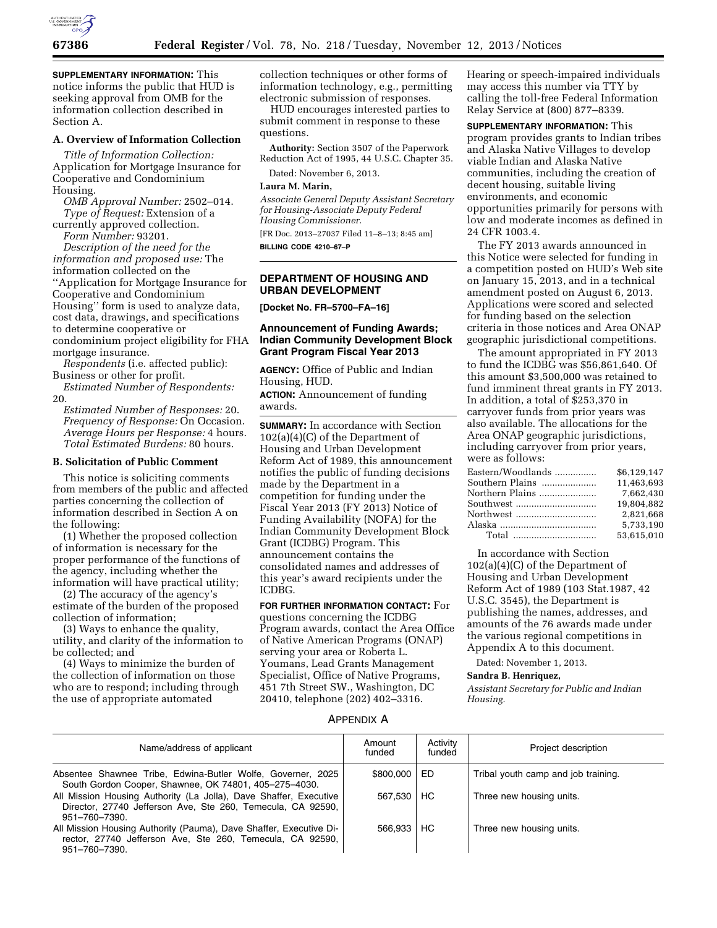

**SUPPLEMENTARY INFORMATION:** This notice informs the public that HUD is seeking approval from OMB for the information collection described in Section A.

# **A. Overview of Information Collection**

*Title of Information Collection:*  Application for Mortgage Insurance for Cooperative and Condominium Housing.

*OMB Approval Number:* 2502–014. *Type of Request:* Extension of a

currently approved collection. *Form Number:* 93201.

*Description of the need for the information and proposed use:* The information collected on the ''Application for Mortgage Insurance for Cooperative and Condominium Housing'' form is used to analyze data, cost data, drawings, and specifications to determine cooperative or condominium project eligibility for FHA mortgage insurance.

*Respondents* (i.e. affected public): Business or other for profit.

*Estimated Number of Respondents:*  20.

*Estimated Number of Responses:* 20. *Frequency of Response:* On Occasion. *Average Hours per Response:* 4 hours. *Total Estimated Burdens:* 80 hours.

### **B. Solicitation of Public Comment**

This notice is soliciting comments from members of the public and affected parties concerning the collection of information described in Section A on the following:

(1) Whether the proposed collection of information is necessary for the proper performance of the functions of the agency, including whether the information will have practical utility;

(2) The accuracy of the agency's estimate of the burden of the proposed collection of information;

(3) Ways to enhance the quality, utility, and clarity of the information to be collected; and

(4) Ways to minimize the burden of the collection of information on those who are to respond; including through the use of appropriate automated

collection techniques or other forms of information technology, e.g., permitting electronic submission of responses.

HUD encourages interested parties to submit comment in response to these questions.

**Authority:** Section 3507 of the Paperwork Reduction Act of 1995, 44 U.S.C. Chapter 35.

Dated: November 6, 2013.

# **Laura M. Marin,**

*Associate General Deputy Assistant Secretary for Housing-Associate Deputy Federal Housing Commissioner.* 

[FR Doc. 2013–27037 Filed 11–8–13; 8:45 am] **BILLING CODE 4210–67–P** 

# **DEPARTMENT OF HOUSING AND URBAN DEVELOPMENT**

**[Docket No. FR–5700–FA–16]** 

# **Announcement of Funding Awards; Indian Community Development Block Grant Program Fiscal Year 2013**

**AGENCY:** Office of Public and Indian Housing, HUD.

**ACTION:** Announcement of funding awards.

**SUMMARY:** In accordance with Section 102(a)(4)(C) of the Department of Housing and Urban Development Reform Act of 1989, this announcement notifies the public of funding decisions made by the Department in a competition for funding under the Fiscal Year 2013 (FY 2013) Notice of Funding Availability (NOFA) for the Indian Community Development Block Grant (ICDBG) Program. This announcement contains the consolidated names and addresses of this year's award recipients under the ICDBG.

**FOR FURTHER INFORMATION CONTACT:** For questions concerning the ICDBG Program awards, contact the Area Office of Native American Programs (ONAP) serving your area or Roberta L. Youmans, Lead Grants Management Specialist, Office of Native Programs, 451 7th Street SW., Washington, DC 20410, telephone (202) 402–3316.

Hearing or speech-impaired individuals may access this number via TTY by calling the toll-free Federal Information Relay Service at (800) 877–8339.

**SUPPLEMENTARY INFORMATION:** This program provides grants to Indian tribes and Alaska Native Villages to develop viable Indian and Alaska Native communities, including the creation of decent housing, suitable living environments, and economic opportunities primarily for persons with low and moderate incomes as defined in 24 CFR 1003.4.

The FY 2013 awards announced in this Notice were selected for funding in a competition posted on HUD's Web site on January 15, 2013, and in a technical amendment posted on August 6, 2013. Applications were scored and selected for funding based on the selection criteria in those notices and Area ONAP geographic jurisdictional competitions.

The amount appropriated in FY 2013 to fund the ICDBG was \$56,861,640. Of this amount \$3,500,000 was retained to fund imminent threat grants in FY 2013. In addition, a total of \$253,370 in carryover funds from prior years was also available. The allocations for the Area ONAP geographic jurisdictions, including carryover from prior years, were as follows:

| Eastern/Woodlands | \$6.129.147 |
|-------------------|-------------|
| Southern Plains   | 11.463.693  |
| Northern Plains   | 7.662.430   |
|                   | 19.804.882  |
|                   | 2.821.668   |
|                   | 5.733.190   |
|                   | 53.615.010  |

In accordance with Section 102(a)(4)(C) of the Department of Housing and Urban Development Reform Act of 1989 (103 Stat.1987, 42 U.S.C. 3545), the Department is publishing the names, addresses, and amounts of the 76 awards made under the various regional competitions in Appendix A to this document.

Dated: November 1, 2013.

#### **Sandra B. Henriquez,**

*Assistant Secretary for Public and Indian Housing.* 

## APPENDIX A

| Name/address of applicant                                                                                                                         | Amount<br>funded | Activity<br>funded | Project description                 |
|---------------------------------------------------------------------------------------------------------------------------------------------------|------------------|--------------------|-------------------------------------|
| Absentee Shawnee Tribe, Edwina-Butler Wolfe, Governer, 2025<br>South Gordon Cooper, Shawnee, OK 74801, 405-275-4030.                              | \$800,000        | ED                 | Tribal youth camp and job training. |
| All Mission Housing Authority (La Jolla), Dave Shaffer, Executive<br>Director, 27740 Jefferson Ave, Ste 260, Temecula, CA 92590,<br>951-760-7390. | 567.530          | HC                 | Three new housing units.            |
| All Mission Housing Authority (Pauma), Dave Shaffer, Executive Di-<br>rector, 27740 Jefferson Ave, Ste 260, Temecula, CA 92590,<br>951-760-7390.  | 566.933          | HС                 | Three new housing units.            |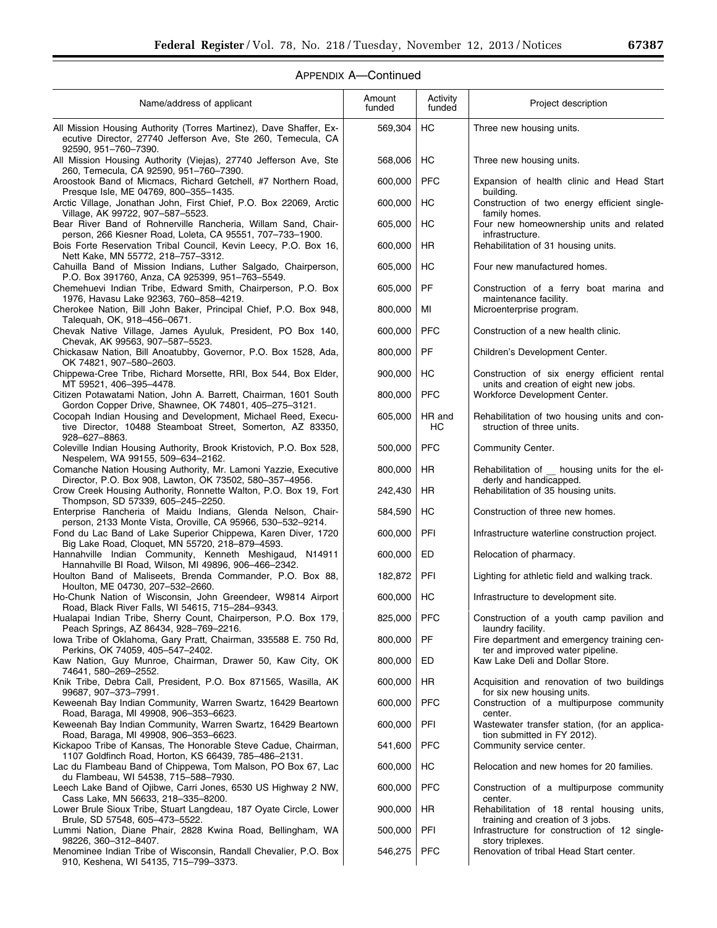# APPENDIX A—Continued

| Name/address of applicant                                                                                                                               | Amount<br>funded | Activity<br>funded | Project description                                                                  |
|---------------------------------------------------------------------------------------------------------------------------------------------------------|------------------|--------------------|--------------------------------------------------------------------------------------|
| All Mission Housing Authority (Torres Martinez), Dave Shaffer, Ex-<br>ecutive Director, 27740 Jefferson Ave, Ste 260, Temecula, CA                      | 569,304          | HC                 | Three new housing units.                                                             |
| 92590, 951-760-7390.<br>All Mission Housing Authority (Viejas), 27740 Jefferson Ave, Ste                                                                | 568,006          | НC                 | Three new housing units.                                                             |
| 260, Temecula, CA 92590, 951-760-7390.<br>Aroostook Band of Micmacs, Richard Getchell, #7 Northern Road,                                                | 600,000          | <b>PFC</b>         | Expansion of health clinic and Head Start                                            |
| Presque Isle, ME 04769, 800-355-1435.<br>Arctic Village, Jonathan John, First Chief, P.O. Box 22069, Arctic                                             | 600,000          | HC                 | building.<br>Construction of two energy efficient single-                            |
| Village, AK 99722, 907-587-5523.<br>Bear River Band of Rohnerville Rancheria, Willam Sand, Chair-                                                       | 605,000          | HC                 | family homes.<br>Four new homeownership units and related                            |
| person, 266 Kiesner Road, Loleta, CA 95551, 707-733-1900.<br>Bois Forte Reservation Tribal Council, Kevin Leecy, P.O. Box 16,                           | 600,000          | <b>HR</b>          | infrastructure.<br>Rehabilitation of 31 housing units.                               |
| Nett Kake, MN 55772, 218-757-3312.<br>Cahuilla Band of Mission Indians, Luther Salgado, Chairperson,<br>P.O. Box 391760, Anza, CA 925399, 951-763-5549. | 605,000          | HC                 | Four new manufactured homes.                                                         |
| Chemehuevi Indian Tribe, Edward Smith, Chairperson, P.O. Box<br>1976, Havasu Lake 92363, 760-858-4219.                                                  | 605,000          | PF                 | Construction of a ferry boat marina and<br>maintenance facility.                     |
| Cherokee Nation, Bill John Baker, Principal Chief, P.O. Box 948,<br>Taleguah, OK, 918-456-0671.                                                         | 800,000          | MI                 | Microenterprise program.                                                             |
| Chevak Native Village, James Ayuluk, President, PO Box 140,<br>Chevak, AK 99563, 907-587-5523.                                                          | 600,000          | <b>PFC</b>         | Construction of a new health clinic.                                                 |
| Chickasaw Nation, Bill Anoatubby, Governor, P.O. Box 1528, Ada,<br>OK 74821, 907-580-2603.                                                              | 800,000          | PF                 | Children's Development Center.                                                       |
| Chippewa-Cree Tribe, Richard Morsette, RRI, Box 544, Box Elder,<br>MT 59521, 406-395-4478.                                                              | 900,000          | HC                 | Construction of six energy efficient rental<br>units and creation of eight new jobs. |
| Citizen Potawatami Nation, John A. Barrett, Chairman, 1601 South<br>Gordon Copper Drive, Shawnee, OK 74801, 405-275-3121.                               | 800,000          | <b>PFC</b>         | Workforce Development Center.                                                        |
| Cocopah Indian Housing and Development, Michael Reed, Execu-<br>tive Director, 10488 Steamboat Street, Somerton, AZ 83350,                              | 605,000          | HR and<br>HC       | Rehabilitation of two housing units and con-<br>struction of three units.            |
| 928-627-8863.<br>Coleville Indian Housing Authority, Brook Kristovich, P.O. Box 528,<br>Nespelem, WA 99155, 509-634-2162.                               | 500,000          | <b>PFC</b>         | Community Center.                                                                    |
| Comanche Nation Housing Authority, Mr. Lamoni Yazzie, Executive<br>Director, P.O. Box 908, Lawton, OK 73502, 580-357-4956.                              | 800,000          | <b>HR</b>          | Rehabilitation of<br>housing units for the el-<br>derly and handicapped.             |
| Crow Creek Housing Authority, Ronnette Walton, P.O. Box 19, Fort<br>Thompson, SD 57339, 605-245-2250.                                                   | 242,430          | <b>HR</b>          | Rehabilitation of 35 housing units.                                                  |
| Enterprise Rancheria of Maidu Indians, Glenda Nelson, Chair-<br>person, 2133 Monte Vista, Oroville, CA 95966, 530-532-9214.                             | 584,590          | HC                 | Construction of three new homes.                                                     |
| Fond du Lac Band of Lake Superior Chippewa, Karen Diver, 1720<br>Big Lake Road, Cloquet, MN 55720, 218-879-4593.                                        | 600,000          | PFI                | Infrastructure waterline construction project.                                       |
| Hannahville Indian Community, Kenneth Meshigaud, N14911<br>Hannahville BI Road, Wilson, MI 49896, 906-466-2342.                                         | 600,000          | <b>ED</b>          | Relocation of pharmacy.                                                              |
| Houlton Band of Maliseets, Brenda Commander, P.O. Box 88,<br>Houlton, ME 04730, 207-532-2660.                                                           | 182,872          | PFI                | Lighting for athletic field and walking track.                                       |
| Ho-Chunk Nation of Wisconsin, John Greendeer, W9814 Airport<br>Road, Black River Falls, WI 54615, 715-284-9343.                                         | 600,000          | HС                 | Infrastructure to development site.                                                  |
| Hualapai Indian Tribe, Sherry Count, Chairperson, P.O. Box 179,<br>Peach Springs, AZ 86434, 928-769-2216.                                               | 825,000          | <b>PFC</b>         | Construction of a youth camp pavilion and<br>laundry facility.                       |
| lowa Tribe of Oklahoma, Gary Pratt, Chairman, 335588 E. 750 Rd,<br>Perkins, OK 74059, 405-547-2402.                                                     | 800,000          | PF                 | Fire department and emergency training cen-<br>ter and improved water pipeline.      |
| Kaw Nation, Guy Munroe, Chairman, Drawer 50, Kaw City, OK<br>74641, 580-269-2552.                                                                       | 800,000          | ED                 | Kaw Lake Deli and Dollar Store.                                                      |
| Knik Tribe, Debra Call, President, P.O. Box 871565, Wasilla, AK<br>99687, 907-373-7991.                                                                 | 600,000          | HR                 | Acquisition and renovation of two buildings<br>for six new housing units.            |
| Keweenah Bay Indian Community, Warren Swartz, 16429 Beartown<br>Road, Baraga, MI 49908, 906-353-6623.                                                   | 600,000          | <b>PFC</b>         | Construction of a multipurpose community<br>center.                                  |
| Keweenah Bay Indian Community, Warren Swartz, 16429 Beartown<br>Road, Baraga, MI 49908, 906-353-6623.                                                   | 600,000          | PFI                | Wastewater transfer station, (for an applica-<br>tion submitted in FY 2012).         |
| Kickapoo Tribe of Kansas, The Honorable Steve Cadue, Chairman,<br>1107 Goldfinch Road, Horton, KS 66439, 785-486-2131.                                  | 541,600          | <b>PFC</b>         | Community service center.                                                            |
| Lac du Flambeau Band of Chippewa, Tom Malson, PO Box 67, Lac<br>du Flambeau, WI 54538, 715-588-7930.                                                    | 600,000          | HC                 | Relocation and new homes for 20 families.                                            |
| Leech Lake Band of Ojibwe, Carri Jones, 6530 US Highway 2 NW,<br>Cass Lake, MN 56633, 218-335-8200.                                                     | 600,000          | <b>PFC</b>         | Construction of a multipurpose community<br>center.                                  |
| Lower Brule Sioux Tribe, Stuart Langdeau, 187 Oyate Circle, Lower<br>Brule, SD 57548, 605-473-5522.                                                     | 900,000          | HR                 | Rehabilitation of 18 rental housing units,<br>training and creation of 3 jobs.       |
| Lummi Nation, Diane Phair, 2828 Kwina Road, Bellingham, WA<br>98226, 360-312-8407.                                                                      | 500,000          | PFI                | Infrastructure for construction of 12 single-<br>story triplexes.                    |
| Menominee Indian Tribe of Wisconsin, Randall Chevalier, P.O. Box<br>910, Keshena, WI 54135, 715-799-3373.                                               | 546,275          | <b>PFC</b>         | Renovation of tribal Head Start center.                                              |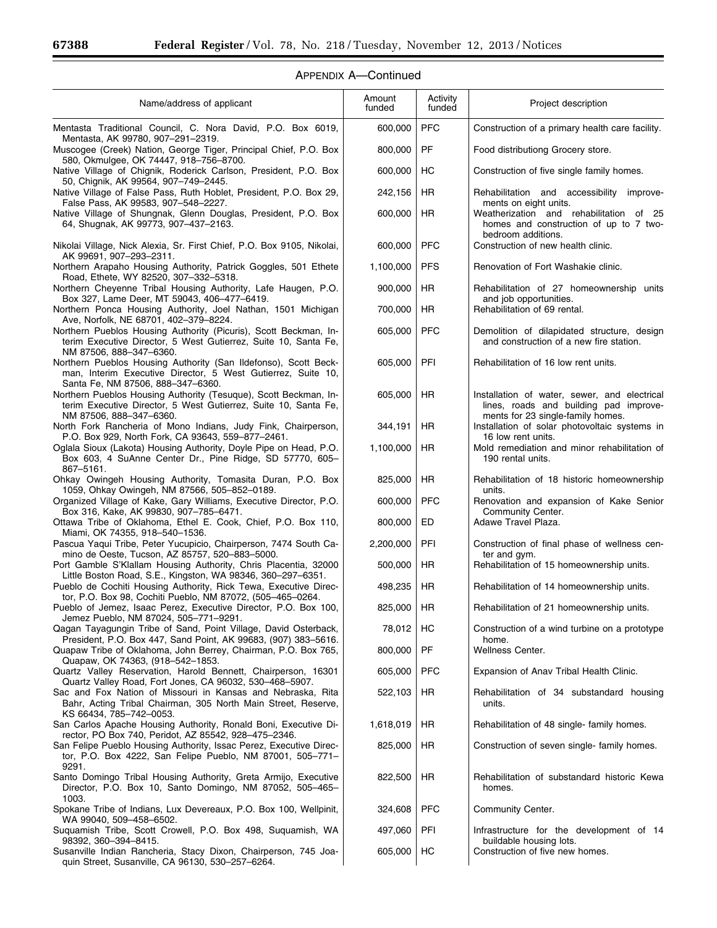Ξ

| Name/address of applicant                                                                                                                                            | Amount<br>funded | Activity<br>funded | Project description                                                                                                         |
|----------------------------------------------------------------------------------------------------------------------------------------------------------------------|------------------|--------------------|-----------------------------------------------------------------------------------------------------------------------------|
| Mentasta Traditional Council, C. Nora David, P.O. Box 6019,                                                                                                          | 600,000          | <b>PFC</b>         | Construction of a primary health care facility.                                                                             |
| Mentasta, AK 99780, 907-291-2319.<br>Muscogee (Creek) Nation, George Tiger, Principal Chief, P.O. Box<br>580, Okmulgee, OK 74447, 918-756-8700.                      | 800,000          | PF                 | Food distributiong Grocery store.                                                                                           |
| Native Village of Chignik, Roderick Carlson, President, P.O. Box<br>50, Chignik, AK 99564, 907-749-2445.                                                             | 600,000          | HC                 | Construction of five single family homes.                                                                                   |
| Native Village of False Pass, Ruth Hoblet, President, P.O. Box 29,                                                                                                   | 242,156          | <b>HR</b>          | Rehabilitation and accessibility improve-                                                                                   |
| False Pass, AK 99583, 907-548-2227.<br>Native Village of Shungnak, Glenn Douglas, President, P.O. Box<br>64, Shugnak, AK 99773, 907-437-2163.                        | 600,000          | <b>HR</b>          | ments on eight units.<br>Weatherization and rehabilitation of 25<br>homes and construction of up to 7 two-                  |
| Nikolai Village, Nick Alexia, Sr. First Chief, P.O. Box 9105, Nikolai,<br>AK 99691, 907-293-2311.                                                                    | 600,000          | <b>PFC</b>         | bedroom additions.<br>Construction of new health clinic.                                                                    |
| Northern Arapaho Housing Authority, Patrick Goggles, 501 Ethete<br>Road, Ethete, WY 82520, 307-332-5318.                                                             | 1,100,000        | <b>PFS</b>         | Renovation of Fort Washakie clinic.                                                                                         |
| Northern Cheyenne Tribal Housing Authority, Lafe Haugen, P.O.<br>Box 327, Lame Deer, MT 59043, 406-477-6419.                                                         | 900,000          | <b>HR</b>          | Rehabilitation of 27 homeownership units<br>and job opportunities.                                                          |
| Northern Ponca Housing Authority, Joel Nathan, 1501 Michigan<br>Ave, Norfolk, NE 68701, 402-379-8224.                                                                | 700,000          | HR                 | Rehabilitation of 69 rental.                                                                                                |
| Northern Pueblos Housing Authority (Picuris), Scott Beckman, In-<br>terim Executive Director, 5 West Gutierrez, Suite 10, Santa Fe,<br>NM 87506, 888-347-6360.       | 605,000          | <b>PFC</b>         | Demolition of dilapidated structure, design<br>and construction of a new fire station.                                      |
| Northern Pueblos Housing Authority (San Ildefonso), Scott Beck-<br>man, Interim Executive Director, 5 West Gutierrez, Suite 10,<br>Santa Fe, NM 87506, 888-347-6360. | 605,000          | PFI                | Rehabilitation of 16 low rent units.                                                                                        |
| Northern Pueblos Housing Authority (Tesuque), Scott Beckman, In-<br>terim Executive Director, 5 West Gutierrez, Suite 10, Santa Fe,<br>NM 87506, 888-347-6360.       | 605,000          | HR                 | Installation of water, sewer, and electrical<br>lines, roads and building pad improve-<br>ments for 23 single-family homes. |
| North Fork Rancheria of Mono Indians, Judy Fink, Chairperson,<br>P.O. Box 929, North Fork, CA 93643, 559-877-2461.                                                   | 344,191          | HR                 | Installation of solar photovoltaic systems in<br>16 low rent units.                                                         |
| Oglala Sioux (Lakota) Housing Authority, Doyle Pipe on Head, P.O.<br>Box 603, 4 SuAnne Center Dr., Pine Ridge, SD 57770, 605-<br>867-5161.                           | 1,100,000        | HR                 | Mold remediation and minor rehabilitation of<br>190 rental units.                                                           |
| Ohkay Owingeh Housing Authority, Tomasita Duran, P.O. Box<br>1059, Ohkay Owingeh, NM 87566, 505-852-0189.                                                            | 825,000          | HR                 | Rehabilitation of 18 historic homeownership<br>units.                                                                       |
| Organized Village of Kake, Gary Williams, Executive Director, P.O.<br>Box 316, Kake, AK 99830, 907-785-6471.                                                         | 600,000          | <b>PFC</b>         | Renovation and expansion of Kake Senior<br>Community Center.                                                                |
| Ottawa Tribe of Oklahoma, Ethel E. Cook, Chief, P.O. Box 110,<br>Miami, OK 74355, 918-540-1536.                                                                      | 800,000          | ED                 | Adawe Travel Plaza.                                                                                                         |
| Pascua Yaqui Tribe, Peter Yucupicio, Chairperson, 7474 South Ca-<br>mino de Oeste, Tucson, AZ 85757, 520-883-5000.                                                   | 2,200,000        | PFI                | Construction of final phase of wellness cen-<br>ter and gym.                                                                |
| Port Gamble S'Klallam Housing Authority, Chris Placentia, 32000<br>Little Boston Road, S.E., Kingston, WA 98346, 360-297-6351.                                       | 500,000          | <b>HR</b>          | Rehabilitation of 15 homeownership units.                                                                                   |
| Pueblo de Cochiti Housing Authority, Rick Tewa, Executive Direc-<br>tor, P.O. Box 98, Cochiti Pueblo, NM 87072, (505-465-0264.                                       | 498,235          | <b>HR</b>          | Rehabilitation of 14 homeownership units.                                                                                   |
| Pueblo of Jemez, Isaac Perez, Executive Director, P.O. Box 100,<br>Jemez Pueblo, NM 87024, 505-771-9291.                                                             | 825,000   HR     |                    | Rehabilitation of 21 homeownership units.                                                                                   |
| Qagan Tayagungin Tribe of Sand, Point Village, David Osterback,<br>President, P.O. Box 447, Sand Point, AK 99683, (907) 383–5616.                                    | 78,012           | HC                 | Construction of a wind turbine on a prototype<br>home.                                                                      |
| Quapaw Tribe of Oklahoma, John Berrey, Chairman, P.O. Box 765,<br>Quapaw, OK 74363, (918-542-1853.                                                                   | 800,000          | PF                 | Wellness Center.                                                                                                            |
| Quartz Valley Reservation, Harold Bennett, Chairperson, 16301<br>Quartz Valley Road, Fort Jones, CA 96032, 530-468-5907.                                             | 605,000          | <b>PFC</b>         | Expansion of Anav Tribal Health Clinic.                                                                                     |
| Sac and Fox Nation of Missouri in Kansas and Nebraska, Rita<br>Bahr, Acting Tribal Chairman, 305 North Main Street, Reserve,<br>KS 66434, 785-742-0053.              | 522,103          | HR                 | Rehabilitation of 34 substandard housing<br>units.                                                                          |
| San Carlos Apache Housing Authority, Ronald Boni, Executive Di-<br>rector, PO Box 740, Peridot, AZ 85542, 928-475-2346.                                              | 1,618,019        | HR.                | Rehabilitation of 48 single-family homes.                                                                                   |
| San Felipe Pueblo Housing Authority, Issac Perez, Executive Direc-<br>tor, P.O. Box 4222, San Felipe Pueblo, NM 87001, 505-771-<br>9291.                             | 825,000          | <b>HR</b>          | Construction of seven single-family homes.                                                                                  |
| Santo Domingo Tribal Housing Authority, Greta Armijo, Executive<br>Director, P.O. Box 10, Santo Domingo, NM 87052, 505-465-<br>1003.                                 | 822,500          | HR                 | Rehabilitation of substandard historic Kewa<br>homes.                                                                       |
| Spokane Tribe of Indians, Lux Devereaux, P.O. Box 100, Wellpinit,<br>WA 99040, 509-458-6502.                                                                         | 324,608          | <b>PFC</b>         | Community Center.                                                                                                           |
| Suquamish Tribe, Scott Crowell, P.O. Box 498, Suquamish, WA<br>98392, 360-394-8415.                                                                                  | 497,060          | PFI                | Infrastructure for the development of 14<br>buildable housing lots.                                                         |
| Susanville Indian Rancheria, Stacy Dixon, Chairperson, 745 Joa-<br>quin Street, Susanville, CA 96130, 530-257-6264.                                                  | 605,000          | HC                 | Construction of five new homes.                                                                                             |

# APPENDIX A—Continued

۰